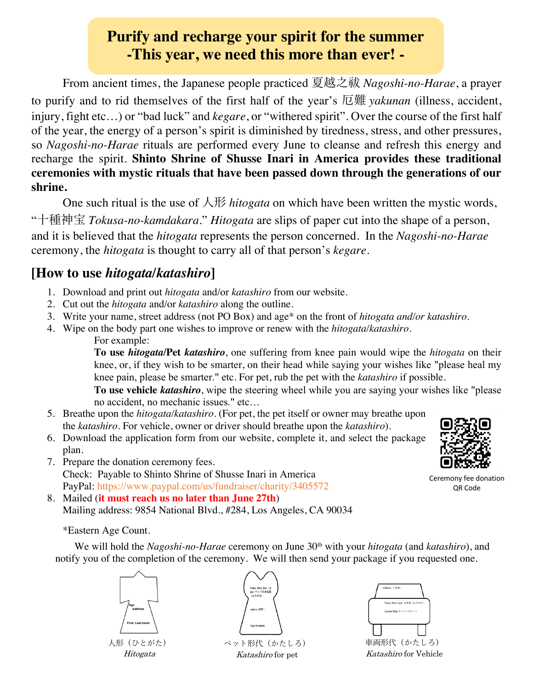## **Purify and recharge your spirit for the summer -This year, we need this more than ever! -**

From ancient times, the Japanese people practiced 夏越之祓 *Nagoshi-no-Harae*, a prayer to purify and to rid themselves of the first half of the year's 厄難 *yakunan* (illness, accident, injury, fight etc…) or "bad luck" and *kegare*, or "withered spirit". Over the course of the first half of the year, the energy of a person's spirit is diminished by tiredness, stress, and other pressures, so *Nagoshi-no-Harae* rituals are performed every June to cleanse and refresh this energy and recharge the spirit. **Shinto Shrine of Shusse Inari in America provides these traditional ceremonies with mystic rituals that have been passed down through the generations of our shrine.**

One such ritual is the use of  $\overline{\mathcal{A}}$  *hitogata* on which have been written the mystic words,

"⼗種神宝 *Tokusa-no-kamdakara*." *Hitogata* are slips of paper cut into the shape of a person, and it is believed that the *hitogata* represents the person concerned. In the *Nagoshi-no-Harae* ceremony, the *hitogata* is thought to carry all of that person's *kegare*.

### **[How to use** *hitogata/katashiro***]**

- 1. Download and print out *hitogata* and/or *katashiro* from our website.
- 2. Cut out the *hitogata* and/or *katashiro* along the outline.
- 3. Write your name, street address (not PO Box) and age\* on the front of *hitogata and/or katashiro*.
- 4. Wipe on the body part one wishes to improve or renew with the *hitogata/katashiro.*
	- For example:

**To use** *hitogata***/Pet** *katashiro*, one suffering from knee pain would wipe the *hitogata* on their knee, or, if they wish to be smarter, on their head while saying your wishes like "please heal my knee pain, please be smarter." etc. For pet, rub the pet with the *katashiro* if possible.

**To use vehicle** *katashiro*, wipe the steering wheel while you are saying your wishes like "please no accident, no mechanic issues." etc…

- 5. Breathe upon the *hitogata/katashiro*. (For pet, the pet itself or owner may breathe upon the *katashiro*. For vehicle, owner or driver should breathe upon the *katashiro*).
- 6. Download the application form from our website, complete it, and select the package plan.
- 7. Prepare the donation ceremony fees. Check: Payable to Shinto Shrine of Shusse Inari in America PayPal: https://www.paypal.com/us/fundraiser/charity/3405572
- 8. Mailed (**it must reach us no later than June 27th**) Mailing address: 9854 National Blvd., #284, Los Angeles, CA 90034

#### \*Eastern Age Count.

We will hold the *Nagoshi-no-Harae* ceremony on June 30<sup>th</sup> with your *hitogata* (and *katashiro*), and notify you of the completion of the ceremony. We will then send your package if you requested one.

⼈形(ひとがた) Hitogata

ペット形代(かたしろ) Katashiro for pet



QR Code

Ceremony fee donation